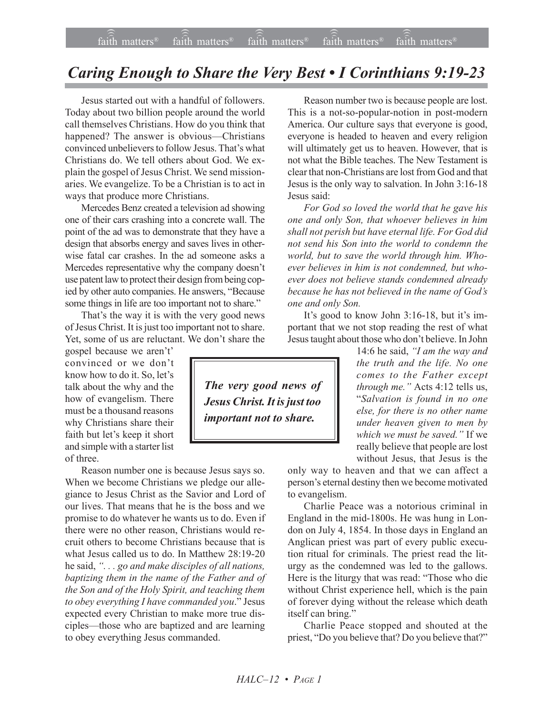## *Caring Enough to Share the Very Best • I Corinthians 9:19-23*

Jesus started out with a handful of followers. Today about two billion people around the world call themselves Christians. How do you think that happened? The answer is obvious—Christians convinced unbelievers to follow Jesus. That's what Christians do. We tell others about God. We explain the gospel of Jesus Christ. We send missionaries. We evangelize. To be a Christian is to act in ways that produce more Christians.

Mercedes Benz created a television ad showing one of their cars crashing into a concrete wall. The point of the ad was to demonstrate that they have a design that absorbs energy and saves lives in otherwise fatal car crashes. In the ad someone asks a Mercedes representative why the company doesn't use patent law to protect their design from being copied by other auto companies. He answers, "Because some things in life are too important not to share."

That's the way it is with the very good news of Jesus Christ. It is just too important not to share. Yet, some of us are reluctant. We don't share the

gospel because we aren't' convinced or we don't know how to do it. So, let's talk about the why and the how of evangelism. There must be a thousand reasons why Christians share their faith but let's keep it short and simple with a starter list of three.

Reason number one is because Jesus says so. When we become Christians we pledge our allegiance to Jesus Christ as the Savior and Lord of our lives. That means that he is the boss and we promise to do whatever he wants us to do. Even if there were no other reason, Christians would recruit others to become Christians because that is what Jesus called us to do. In Matthew 28:19-20 he said, *ì. . . go and make disciples of all nations, baptizing them in the name of the Father and of the Son and of the Holy Spirit, and teaching them* to obey everything I have commanded you." Jesus expected every Christian to make more true disciples—those who are baptized and are learning to obey everything Jesus commanded.

Reason number two is because people are lost. This is a not-so-popular-notion in post-modern America. Our culture says that everyone is good, everyone is headed to heaven and every religion will ultimately get us to heaven. However, that is not what the Bible teaches. The New Testament is clear that non-Christians are lost from God and that Jesus is the only way to salvation. In John 3:16-18 Jesus said:

*For God so loved the world that he gave his one and only Son, that whoever believes in him shall not perish but have eternal life. For God did not send his Son into the world to condemn the world, but to save the world through him. Whoever believes in him is not condemned, but whoever does not believe stands condemned already because he has not believed in the name of Godís one and only Son.*

It's good to know John 3:16-18, but it's important that we not stop reading the rest of what Jesus taught about those who don't believe. In John

> 14:6 he said, *ìI am the way and the truth and the life. No one comes to the Father except through me.*" Acts 4:12 tells us, ì*Salvation is found in no one else, for there is no other name under heaven given to men by* which we must be saved." If we really believe that people are lost without Jesus, that Jesus is the

only way to heaven and that we can affect a person's eternal destiny then we become motivated to evangelism.

Charlie Peace was a notorious criminal in England in the mid-1800s. He was hung in London on July 4, 1854. In those days in England an Anglican priest was part of every public execution ritual for criminals. The priest read the liturgy as the condemned was led to the gallows. Here is the liturgy that was read: "Those who die without Christ experience hell, which is the pain of forever dying without the release which death itself can bring."

Charlie Peace stopped and shouted at the priest, "Do you believe that? Do you believe that?"

*The very good news of Jesus Christ. It is just too important not to share.*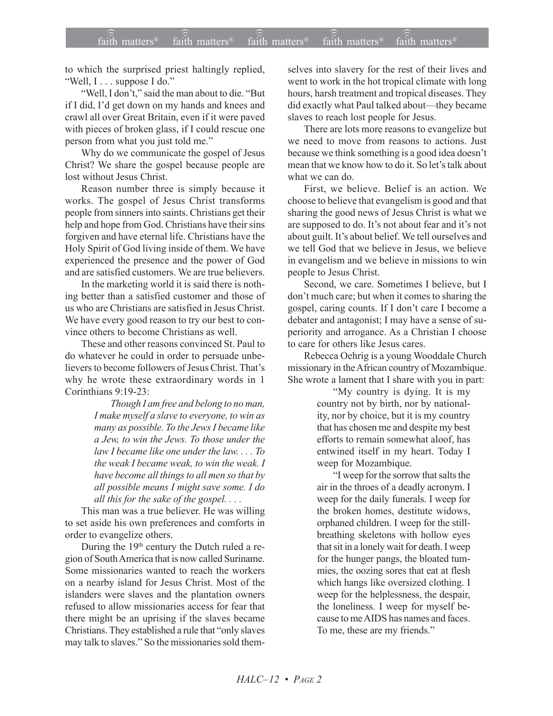to which the surprised priest haltingly replied,  $W$ ell, I . . . suppose I do."

"Well, I don't," said the man about to die. "But if I did, I'd get down on my hands and knees and crawl all over Great Britain, even if it were paved with pieces of broken glass, if I could rescue one person from what you just told me."

Why do we communicate the gospel of Jesus Christ? We share the gospel because people are lost without Jesus Christ.

Reason number three is simply because it works. The gospel of Jesus Christ transforms people from sinners into saints. Christians get their help and hope from God. Christians have their sins forgiven and have eternal life. Christians have the Holy Spirit of God living inside of them. We have experienced the presence and the power of God and are satisfied customers. We are true believers.

In the marketing world it is said there is nothing better than a satisfied customer and those of us who are Christians are satisfied in Jesus Christ. We have every good reason to try our best to convince others to become Christians as well.

These and other reasons convinced St. Paul to do whatever he could in order to persuade unbelievers to become followers of Jesus Christ. That's why he wrote these extraordinary words in 1 Corinthians 9:19-23:

> *Though I am free and belong to no man, I make myself a slave to everyone, to win as many as possible. To the Jews I became like a Jew, to win the Jews. To those under the law I became like one under the law. . . . To the weak I became weak, to win the weak. I have become all things to all men so that by all possible means I might save some. I do all this for the sake of the gospel. . . .*

This man was a true believer. He was willing to set aside his own preferences and comforts in order to evangelize others.

During the 19<sup>th</sup> century the Dutch ruled a region of South America that is now called Suriname. Some missionaries wanted to reach the workers on a nearby island for Jesus Christ. Most of the islanders were slaves and the plantation owners refused to allow missionaries access for fear that there might be an uprising if the slaves became Christians. They established a rule that "only slaves" may talk to slaves." So the missionaries sold themselves into slavery for the rest of their lives and went to work in the hot tropical climate with long hours, harsh treatment and tropical diseases. They did exactly what Paul talked about—they became slaves to reach lost people for Jesus.

There are lots more reasons to evangelize but we need to move from reasons to actions. Just because we think something is a good idea doesn't mean that we know how to do it. So let's talk about what we can do.

First, we believe. Belief is an action. We choose to believe that evangelism is good and that sharing the good news of Jesus Christ is what we are supposed to do. It's not about fear and it's not about guilt. It's about belief. We tell ourselves and we tell God that we believe in Jesus, we believe in evangelism and we believe in missions to win people to Jesus Christ.

Second, we care. Sometimes I believe, but I don't much care; but when it comes to sharing the gospel, caring counts. If I don't care I become a debater and antagonist; I may have a sense of superiority and arrogance. As a Christian I choose to care for others like Jesus cares.

Rebecca Oehrig is a young Wooddale Church missionary in the African country of Mozambique. She wrote a lament that I share with you in part:

> "My country is dying. It is my country not by birth, nor by nationality, nor by choice, but it is my country that has chosen me and despite my best efforts to remain somewhat aloof, has entwined itself in my heart. Today I weep for Mozambique.

> ìI weep for the sorrow that salts the air in the throes of a deadly acronym. I weep for the daily funerals. I weep for the broken homes, destitute widows, orphaned children. I weep for the stillbreathing skeletons with hollow eyes that sit in a lonely wait for death. I weep for the hunger pangs, the bloated tummies, the oozing sores that eat at flesh which hangs like oversized clothing. I weep for the helplessness, the despair, the loneliness. I weep for myself because to me AIDS has names and faces. To me, these are my friends."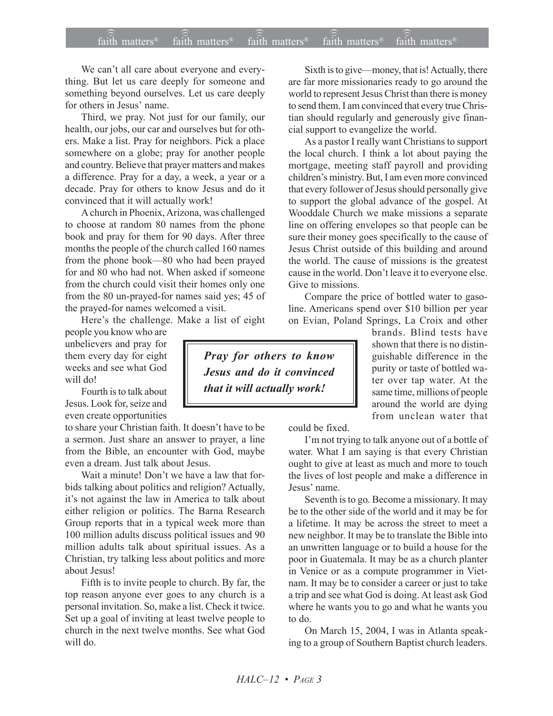## $\widehat{\widehat{\mathfrak{tair}}}$  matters  $\widehat{\widehat{\mathfrak{tair}}}$  matters  $\widehat{\widehat{\mathfrak{tair}}}$  matters  $\widehat{\widehat{\mathfrak{tair}}}$  matters  $\widehat{\widehat{\mathfrak{se}}}$  faith matters faith matters<sup>®</sup> faith matters<sup>®</sup> faith matters<sup> $\phi$ </sup>

We can't all care about everyone and everything. But let us care deeply for someone and something beyond ourselves. Let us care deeply for others in Jesus' name.

Third, we pray. Not just for our family, our health, our jobs, our car and ourselves but for others. Make a list. Pray for neighbors. Pick a place somewhere on a globe; pray for another people and country. Believe that prayer matters and makes a difference. Pray for a day, a week, a year or a decade. Pray for others to know Jesus and do it convinced that it will actually work!

A church in Phoenix, Arizona, was challenged to choose at random 80 names from the phone book and pray for them for 90 days. After three months the people of the church called 160 names from the phone book— $80$  who had been prayed for and 80 who had not. When asked if someone from the church could visit their homes only one from the 80 un-prayed-for names said yes; 45 of the prayed-for names welcomed a visit.

Here's the challenge. Make a list of eight

people you know who are unbelievers and pray for them every day for eight weeks and see what God will do!

Fourth is to talk about Jesus. Look for, seize and even create opportunities

to share your Christian faith. It doesn't have to be a sermon. Just share an answer to prayer, a line from the Bible, an encounter with God, maybe even a dream. Just talk about Jesus.

Wait a minute! Don't we have a law that forbids talking about politics and religion? Actually, it's not against the law in America to talk about either religion or politics. The Barna Research Group reports that in a typical week more than 100 million adults discuss political issues and 90 million adults talk about spiritual issues. As a Christian, try talking less about politics and more about Jesus!

Fifth is to invite people to church. By far, the top reason anyone ever goes to any church is a personal invitation. So, make a list. Check it twice. Set up a goal of inviting at least twelve people to church in the next twelve months. See what God will do.

Sixth is to give—money, that is! Actually, there are far more missionaries ready to go around the world to represent Jesus Christ than there is money to send them. I am convinced that every true Christian should regularly and generously give financial support to evangelize the world.

As a pastor I really want Christians to support the local church. I think a lot about paying the mortgage, meeting staff payroll and providing children's ministry. But, I am even more convinced that every follower of Jesus should personally give to support the global advance of the gospel. At Wooddale Church we make missions a separate line on offering envelopes so that people can be sure their money goes specifically to the cause of Jesus Christ outside of this building and around the world. The cause of missions is the greatest cause in the world. Don't leave it to everyone else. Give to missions.

Compare the price of bottled water to gasoline. Americans spend over \$10 billion per year on Evian, Poland Springs, La Croix and other

> brands. Blind tests have shown that there is no distinguishable difference in the purity or taste of bottled water over tap water. At the same time, millions of people around the world are dying from unclean water that

could be fixed.

I'm not trying to talk anyone out of a bottle of water. What I am saying is that every Christian ought to give at least as much and more to touch the lives of lost people and make a difference in Jesus' name.

Seventh is to go. Become a missionary. It may be to the other side of the world and it may be for a lifetime. It may be across the street to meet a new neighbor. It may be to translate the Bible into an unwritten language or to build a house for the poor in Guatemala. It may be as a church planter in Venice or as a compute programmer in Vietnam. It may be to consider a career or just to take a trip and see what God is doing. At least ask God where he wants you to go and what he wants you to do.

On March 15, 2004, I was in Atlanta speaking to a group of Southern Baptist church leaders.

*Pray for others to know Jesus and do it convinced that it will actually work!*